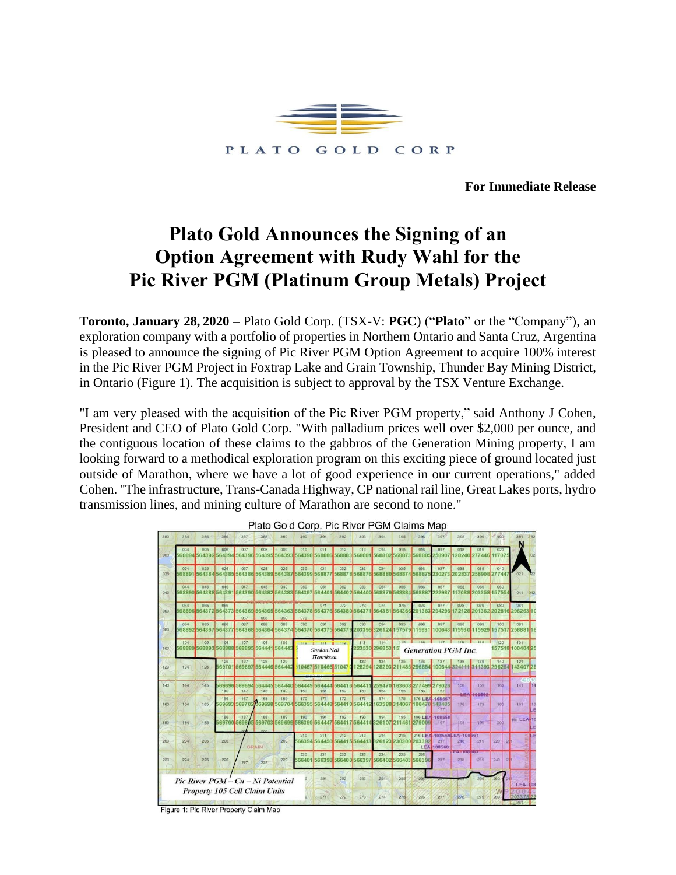

**For Immediate Release**

# **Plato Gold Announces the Signing of an Option Agreement with Rudy Wahl for the Pic River PGM (Platinum Group Metals) Project**

**Toronto, January 28, 2020** – Plato Gold Corp. (TSX-V: **PGC**) ("**Plato**" or the "Company"), an exploration company with a portfolio of properties in Northern Ontario and Santa Cruz, Argentina is pleased to announce the signing of Pic River PGM Option Agreement to acquire 100% interest in the Pic River PGM Project in Foxtrap Lake and Grain Township, Thunder Bay Mining District, in Ontario (Figure 1). The acquisition is subject to approval by the TSX Venture Exchange.

"I am very pleased with the acquisition of the Pic River PGM property," said Anthony J Cohen, President and CEO of Plato Gold Corp. "With palladium prices well over \$2,000 per ounce, and the contiguous location of these claims to the gabbros of the Generation Mining property, I am looking forward to a methodical exploration program on this exciting piece of ground located just outside of Marathon, where we have a lot of good experience in our current operations," added Cohen. "The infrastructure, Trans-Canada Highway, CP national rail line, Great Lakes ports, hydro transmission lines, and mining culture of Marathon are second to none."



Plato Gold Corp. Pic River PGM Claims Map

Figure 1: Pic River Property Claim Map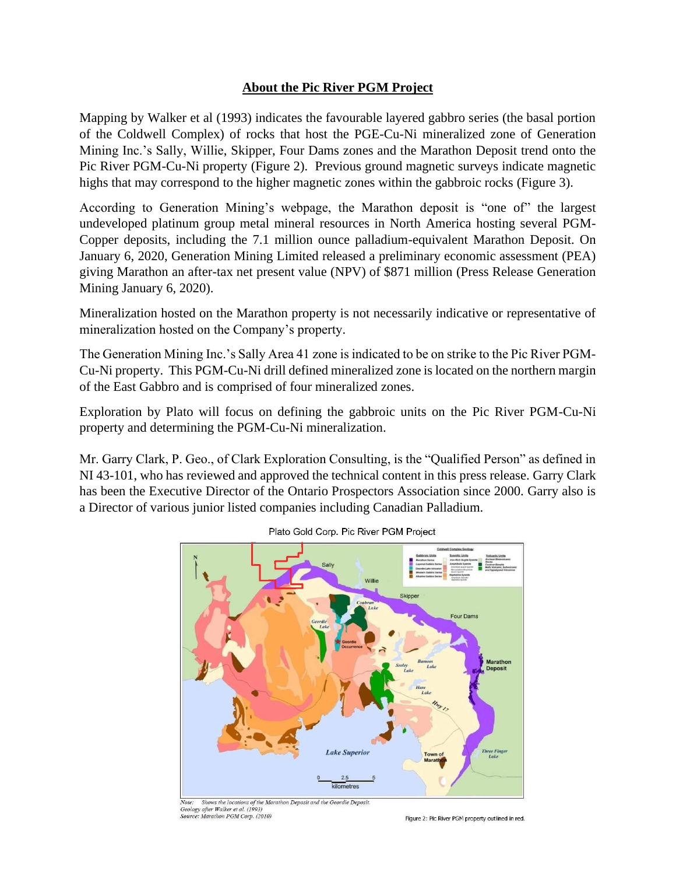## **About the Pic River PGM Project**

Mapping by Walker et al (1993) indicates the favourable layered gabbro series (the basal portion of the Coldwell Complex) of rocks that host the PGE-Cu-Ni mineralized zone of Generation Mining Inc.'s Sally, Willie, Skipper, Four Dams zones and the Marathon Deposit trend onto the Pic River PGM-Cu-Ni property (Figure 2). Previous ground magnetic surveys indicate magnetic highs that may correspond to the higher magnetic zones within the gabbroic rocks (Figure 3).

According to Generation Mining's webpage, the Marathon deposit is "one of" the largest undeveloped platinum group metal mineral resources in North America hosting several PGM-Copper deposits, including the 7.1 million ounce palladium-equivalent Marathon Deposit. On January 6, 2020, Generation Mining Limited released a preliminary economic assessment (PEA) giving Marathon an after-tax net present value (NPV) of \$871 million (Press Release Generation Mining January 6, 2020).

Mineralization hosted on the Marathon property is not necessarily indicative or representative of mineralization hosted on the Company's property.

The Generation Mining Inc.'s Sally Area 41 zone is indicated to be on strike to the Pic River PGM-Cu-Ni property. This PGM-Cu-Ni drill defined mineralized zone is located on the northern margin of the East Gabbro and is comprised of four mineralized zones.

Exploration by Plato will focus on defining the gabbroic units on the Pic River PGM-Cu-Ni property and determining the PGM-Cu-Ni mineralization.

Mr. Garry Clark, P. Geo., of Clark Exploration Consulting, is the "Qualified Person" as defined in NI 43-101, who has reviewed and approved the technical content in this press release. Garry Clark has been the Executive Director of the Ontario Prospectors Association since 2000. Garry also is a Director of various junior listed companies including Canadian Palladium.



Plato Gold Corp. Pic River PGM Project

Shows the locations of the Marathon Deposit and the Geordie Deposit. Geology after Walker et al. (1993)<br>Source: Marathon PGM Corp. (2010)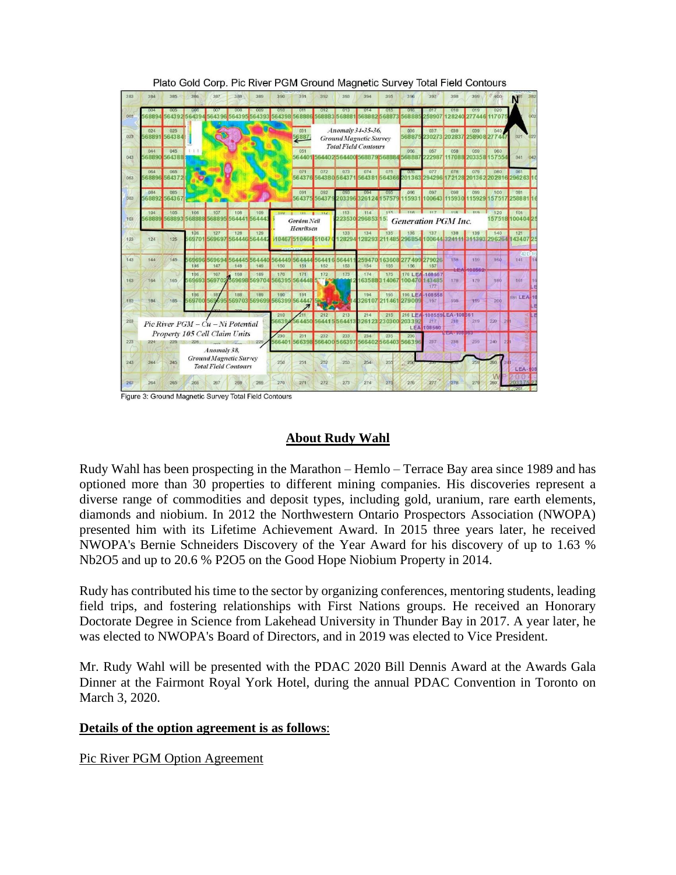| 383 | 384                                   | 385                                                                 | 386                                                                     | 387                                              | 388           | 389           | 390                                                                        | 391                  | 392                  | 393                  | 394                                                                               | 395                         | 396          | 397                                                                                      | 398                             | 399                       | 400                           |                                                  |
|-----|---------------------------------------|---------------------------------------------------------------------|-------------------------------------------------------------------------|--------------------------------------------------|---------------|---------------|----------------------------------------------------------------------------|----------------------|----------------------|----------------------|-----------------------------------------------------------------------------------|-----------------------------|--------------|------------------------------------------------------------------------------------------|---------------------------------|---------------------------|-------------------------------|--------------------------------------------------|
| 003 | 68894                                 |                                                                     | 564392 564394 564396 564395                                             |                                                  |               | 564393        | 010                                                                        | 011<br>564398 568886 | 012                  | 013<br>568883 568881 | 014                                                                               | 015<br>568882568873         | 016<br>56888 | 017<br>258907                                                                            | 018<br>128240                   | 019<br>277446             | 020<br>11707                  |                                                  |
| 023 | 024                                   | 025<br>68891 564384                                                 |                                                                         |                                                  |               |               |                                                                            | 031<br>56887         |                      |                      | Anomaly 34-35-36,<br><b>Ground Magnetic Survey</b><br><b>Total Field Contours</b> |                             | 036<br>56887 | 037                                                                                      | 038<br>230273 202837            | 039                       | 040<br>258908 277447          | 021<br>022                                       |
| 043 | 044                                   | 045<br>68890 564388                                                 |                                                                         |                                                  |               |               |                                                                            | 051                  |                      |                      | 564401 564402 564400 568879 568884 56888                                          |                             | 056          | 057<br>22987                                                                             | 058                             | 059<br>7088 203358 157554 | 060                           | 041<br>042                                       |
| 063 | 064                                   | 065<br>68896 564372                                                 |                                                                         |                                                  |               |               |                                                                            | 071                  | 072                  | 073                  | 074<br>564376 564380 564371 564381 564366                                         | 075                         | 0/6          | 077                                                                                      | 078                             | 079                       | 080                           | 061<br>201363 294296 172128 201362 202816 296263 |
| 083 | 084                                   | 085<br>68892 564367                                                 |                                                                         |                                                  |               |               |                                                                            | 091<br>564375 56437  | 092                  | 093                  | 094<br>203396 326124                                                              | 095<br>15757                | 096<br>1593  | 097                                                                                      | 098<br>100643 115930            | 099                       | 100<br>115929 157517          | 081<br>258881                                    |
| 103 | 104                                   | 105                                                                 | 106<br>107<br>108<br>109<br>68889 568893 568888 568895 564441<br>564443 |                                                  |               |               | $110 - 111 - 112$<br><b>Gordon Neil</b><br>Henriksen<br>10467 510466 51047 |                      |                      | 113                  | 114<br>223530 296853 15                                                           | 115                         | 11R          | 119<br>117<br>120<br><b>118</b><br>101<br>157518 100404 25<br><b>Generation PGM Inc.</b> |                                 |                           |                               |                                                  |
| 123 | 124                                   | 125                                                                 | 127<br>128<br>129<br>126<br>569701 569697<br>564446 56444               |                                                  |               | 133<br>28294  |                                                                            |                      |                      | 134                  | 135<br>128293 211 485 296 854 1006 44 324111                                      | 136                         | 137          | 138                                                                                      | 139                             | 140                       | 121<br>311393 296264 143407 2 |                                                  |
| 143 | 144                                   | 145.                                                                | 569696<br>146                                                           | 569694<br>147                                    | 564445<br>148 | 564440<br>149 | 564449<br>150                                                              | 564444<br>151        | 6441<br>152          | 56441<br>153         | 5947<br>154                                                                       | 163608<br>155               | 156          | 277499 279026<br>157                                                                     | 158                             | 159<br><b>LEA</b> 100562  | 160                           | 89<br>141                                        |
| 163 | 164                                   | 165                                                                 | 186                                                                     | 167<br>569693 569702 569698 569704 566395 564448 | 168           | 169           | 170                                                                        | 171                  | 172<br><b>BY THE</b> | 173                  | 174                                                                               | 175<br>63588314067          |              | 176 LEA-108557<br>100470 143485<br>177                                                   | 178                             | 179                       | 180                           | 161                                              |
| 183 | 184                                   | 185                                                                 | 186                                                                     | 187<br>569700 569695 569703                      | 188           | 189           | 190<br>569699 566399 564447 5 34 5 32 1                                    | 191                  |                      |                      | 194                                                                               | 195<br>326107 211461 279009 |              | 196 LEA-108558<br>197                                                                    | 198                             | 199                       | 200                           | 181 LEA 1                                        |
| 203 | $Pic$ River $PGM - Cu - Ni$ Potential |                                                                     |                                                                         |                                                  |               |               | 210<br>56639                                                               | 564450               | 212<br>56441         | 213<br>5564413       | 214                                                                               | 215<br>326123230300 203392  |              | 217<br><b>LEA 108560</b>                                                                 | 216 LEA-108559LEA-108561<br>218 | 219                       | 220                           |                                                  |
| 223 | 224                                   | 225                                                                 | Property 105 Cell Claim Units                                           | Anomaly 38.                                      |               | 229           | 230<br>66401                                                               | 231<br>566398        | 232                  | 233<br>566400 566397 | 234                                                                               | 235<br>566402 566403 566396 | 236          | 237                                                                                      | $-1.4 - 100$ $100$<br>238       | 239                       | 240                           |                                                  |
| 243 | 244                                   | <b>Ground Magnetic Survey</b><br>245<br><b>Total Field Contours</b> |                                                                         |                                                  |               |               | 250                                                                        | 251                  | 252                  | 253                  | 254                                                                               | 255                         | 256          |                                                                                          |                                 |                           | 260                           | LEA-108                                          |
| 263 | 264                                   | 265                                                                 | 266                                                                     | 267                                              | 268           | 269           | 270                                                                        | 271                  | 272                  | 273                  | 274                                                                               | 275                         | 276          | 277                                                                                      | 278                             | 279                       | 280                           | 261                                              |

Plato Gold Corp. Pic River PGM Ground Magnetic Survey Total Field Contours

Figure 3: Ground Magnetic Survey Total Field Contours

## **About Rudy Wahl**

Rudy Wahl has been prospecting in the Marathon – Hemlo – Terrace Bay area since 1989 and has optioned more than 30 properties to different mining companies. His discoveries represent a diverse range of commodities and deposit types, including gold, uranium, rare earth elements, diamonds and niobium. In 2012 the Northwestern Ontario Prospectors Association (NWOPA) presented him with its Lifetime Achievement Award. In 2015 three years later, he received NWOPA's Bernie Schneiders Discovery of the Year Award for his discovery of up to 1.63 % Nb2O5 and up to 20.6 % P2O5 on the Good Hope Niobium Property in 2014.

Rudy has contributed his time to the sector by organizing conferences, mentoring students, leading field trips, and fostering relationships with First Nations groups. He received an Honorary Doctorate Degree in Science from Lakehead University in Thunder Bay in 2017. A year later, he was elected to NWOPA's Board of Directors, and in 2019 was elected to Vice President.

Mr. Rudy Wahl will be presented with the PDAC 2020 Bill Dennis Award at the Awards Gala Dinner at the Fairmont Royal York Hotel, during the annual PDAC Convention in Toronto on March 3, 2020.

### **Details of the option agreement is as follows**:

Pic River PGM Option Agreement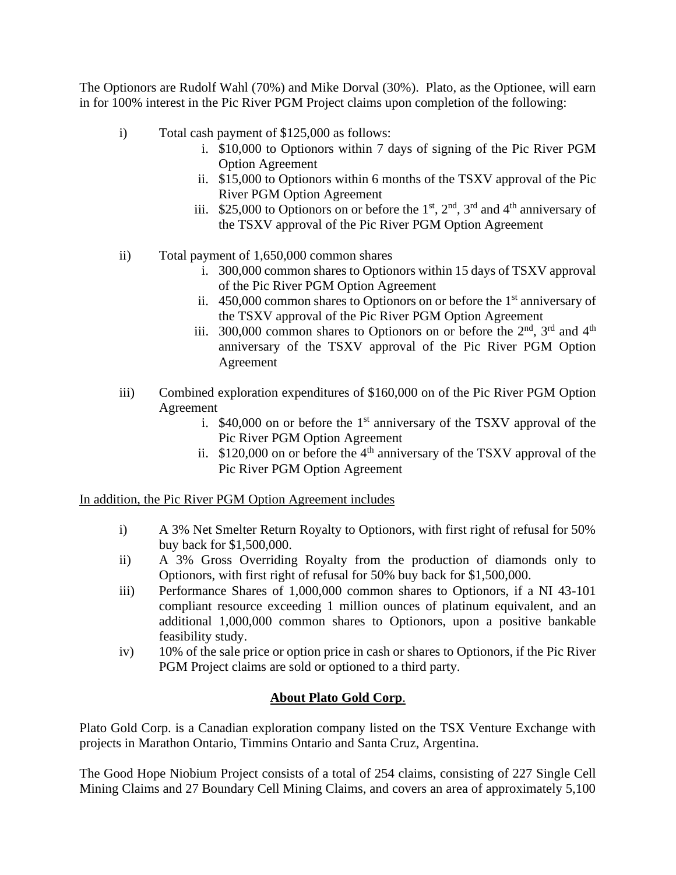The Optionors are Rudolf Wahl (70%) and Mike Dorval (30%). Plato, as the Optionee, will earn in for 100% interest in the Pic River PGM Project claims upon completion of the following:

- i) Total cash payment of \$125,000 as follows:
	- i. \$10,000 to Optionors within 7 days of signing of the Pic River PGM Option Agreement
	- ii. \$15,000 to Optionors within 6 months of the TSXV approval of the Pic River PGM Option Agreement
	- iii. \$25,000 to Optionors on or before the  $1<sup>st</sup>$ ,  $2<sup>nd</sup>$ ,  $3<sup>rd</sup>$  and  $4<sup>th</sup>$  anniversary of the TSXV approval of the Pic River PGM Option Agreement
- ii) Total payment of 1,650,000 common shares
	- i. 300,000 common shares to Optionors within 15 days of TSXV approval of the Pic River PGM Option Agreement
	- ii.  $450,000$  common shares to Optionors on or before the 1<sup>st</sup> anniversary of the TSXV approval of the Pic River PGM Option Agreement
	- iii. 300,000 common shares to Optionors on or before the  $2<sup>nd</sup>$ ,  $3<sup>rd</sup>$  and  $4<sup>th</sup>$ anniversary of the TSXV approval of the Pic River PGM Option Agreement
- iii) Combined exploration expenditures of \$160,000 on of the Pic River PGM Option Agreement
	- i.  $$40,000$  on or before the 1<sup>st</sup> anniversary of the TSXV approval of the Pic River PGM Option Agreement
	- ii.  $$120,000$  on or before the  $4<sup>th</sup>$  anniversary of the TSXV approval of the Pic River PGM Option Agreement

In addition, the Pic River PGM Option Agreement includes

- i) A 3% Net Smelter Return Royalty to Optionors, with first right of refusal for 50% buy back for \$1,500,000.
- ii) A 3% Gross Overriding Royalty from the production of diamonds only to Optionors, with first right of refusal for 50% buy back for \$1,500,000.
- iii) Performance Shares of 1,000,000 common shares to Optionors, if a NI 43-101 compliant resource exceeding 1 million ounces of platinum equivalent, and an additional 1,000,000 common shares to Optionors, upon a positive bankable feasibility study.
- iv) 10% of the sale price or option price in cash or shares to Optionors, if the Pic River PGM Project claims are sold or optioned to a third party.

## **About Plato Gold Corp**.

Plato Gold Corp. is a Canadian exploration company listed on the TSX Venture Exchange with projects in Marathon Ontario, Timmins Ontario and Santa Cruz, Argentina.

The Good Hope Niobium Project consists of a total of 254 claims, consisting of 227 Single Cell Mining Claims and 27 Boundary Cell Mining Claims, and covers an area of approximately 5,100